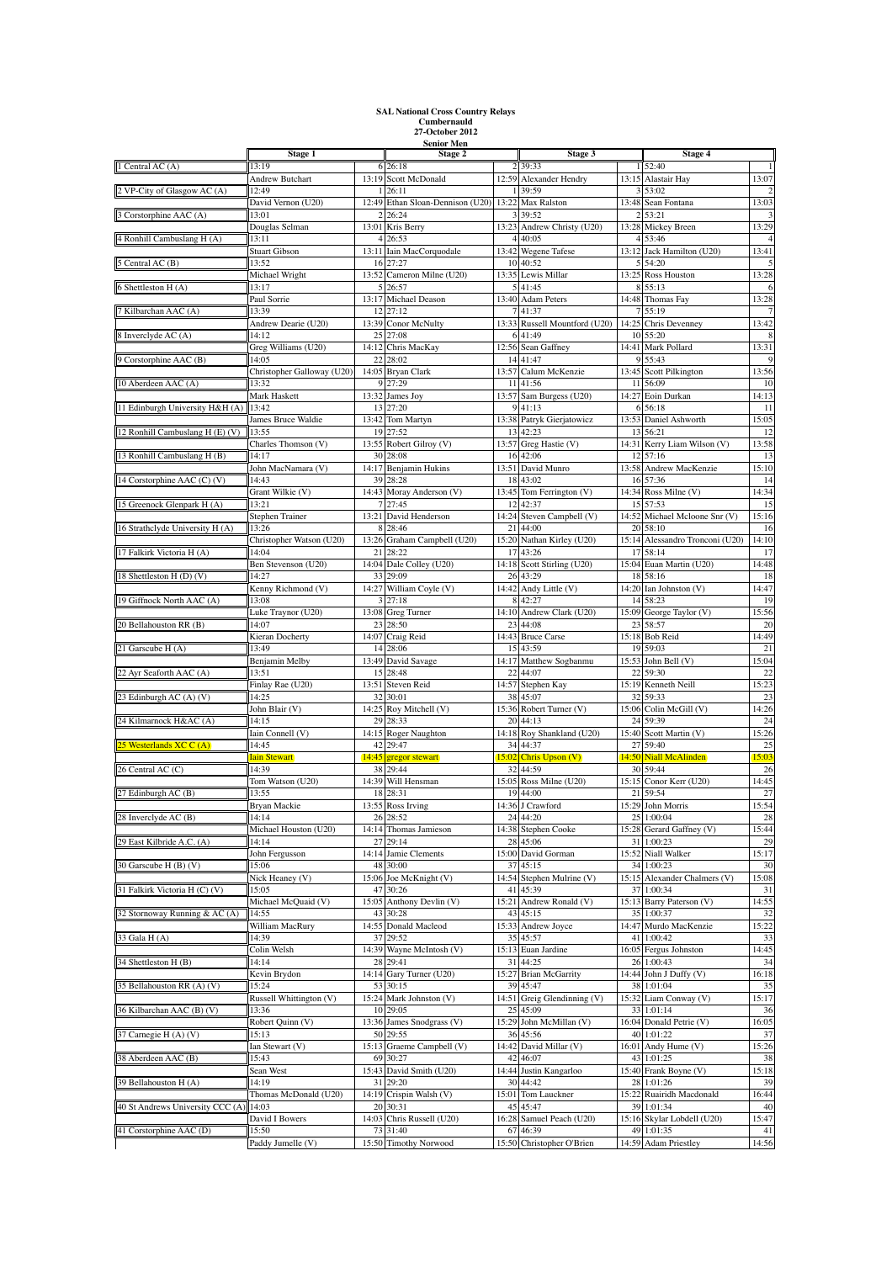## **SAL National Cross Country Relays Cumbernauld 27-October 2012 Senior Men**

|                                  | Stage 1                        |             | Stage 2                            |             | Stage 3                         |                         | Stage 4                           |                |
|----------------------------------|--------------------------------|-------------|------------------------------------|-------------|---------------------------------|-------------------------|-----------------------------------|----------------|
| 1 Central AC (A)                 | 13:19                          |             | 6 26:18                            |             | 2 39:33                         |                         | 1 52:40                           |                |
|                                  | Andrew Butchart                | 13:19       | Scott McDonald                     |             | 12:59 Alexander Hendry          |                         | 13:15 Alastair Hay                | 13:07          |
| 2 VP-City of Glasgow AC (A)      | 12:49                          |             | 26:11                              |             | 39:59                           |                         | 53:02                             |                |
|                                  | David Vernon (U20)             | 12:49       | Ethan Sloan-Dennison (U20) 13:22   |             | Max Ralston                     | 13:48                   | Sean Fontana                      | 13:03          |
| 3 Corstorphine AAC (A)           | 13:01                          | 2<br>13:01  | 26:24                              | 3           | 39:52<br>Andrew Christy (U20)   | $\overline{2}$          | 53:21                             | 3<br>13:29     |
| 4 Ronhill Cambuslang H (A)       | Douglas Selman<br>13:11        |             | Kris Berry<br>26:53                | 13:23       | 40:05                           | 13:28<br>$\overline{4}$ | Mickey Breen<br>53:46             | $\overline{4}$ |
|                                  | <b>Stuart Gibson</b>           |             | 13:11 Iain MacCorquodale           | 13:42       | <b>Wegene Tafese</b>            |                         | 13:12 Jack Hamilton (U20)         | 13:41          |
| 5 Central AC (B)                 | 13:52                          | 16          | 27:27                              | 10          | 40:52                           |                         | 54:20                             |                |
|                                  | Michael Wright                 | 13:52       | Cameron Milne (U20)                | 13:35       | Lewis Millar                    | 13:25                   | Ross Houston                      | 13:28          |
| 6 Shettleston H (A)              | 13:17                          | 5           | 26:57                              |             | 5 41:45                         |                         | 8 55:13                           | 6              |
|                                  | Paul Sorrie                    | 13:17       | Michael Deason                     | 13:40       | <b>Adam Peters</b>              | 14:48                   | Thomas Fay                        | 13:28          |
| 7 Kilbarchan AAC (A)             | 13:39                          | 12          | 27:12                              |             | 41:37                           |                         | 55:19                             |                |
|                                  | Andrew Dearie (U20)            | 13:39       | Conor McNulty                      | 13:33       | Russell Mountford (U20)         | 14:25                   | Chris Devenney                    | 13:42          |
| 8 Inverclyde AC (A)              | 14:12<br>Greg Williams (U20)   | 25          | 27:08<br>14:12 Chris MacKay        | 12:56       | 6 41:49<br>Sean Gaffney         | 10<br>14:41             | 55:20<br>Mark Pollard             | 8<br>13:31     |
| 9 Corstorphine AAC (B)           | 14:05                          | 22          | 28:02                              | 14          | 41:47                           |                         | 9 55:43                           | 9              |
|                                  | Christopher Galloway (U20)     |             | 14:05 Bryan Clark                  | 13:57       | Calum McKenzie                  | 13:45                   | Scott Pilkington                  | 13:56          |
| 10 Aberdeen AAC (A)              | 13:32                          | 9           | 27:29                              | 11          | 41:56                           | 11                      | 56:09                             | 10             |
|                                  | Mark Haskett                   | 13:32       | James Joy                          | 13:57       | Sam Burgess (U20)               | 14:27                   | Eoin Durkan                       | 14:13          |
| 11 Edinburgh University H&H (A)  | 13:42                          | 13          | 27:20                              |             | 41:13                           | 6                       | 56:18                             | 11             |
|                                  | James Bruce Waldie             |             | 13:42 Tom Martyn                   | 13:38       | Patryk Gierjatowicz             | 13:53                   | Daniel Ashworth                   | 15:05          |
| 12 Ronhill Cambuslang H (E) (V)  | 13:55                          |             | 19 27:52                           | 13          | 42:23                           | 13                      | 56:21                             | 12             |
|                                  | Charles Thomson (V)            |             | 13:55 Robert Gilroy (V)            |             | 13:57 Greg Hastie (V)           |                         | 14:31 Kerry Liam Wilson (V)       | 13:58          |
| 13 Ronhill Cambuslang H (B)      | 14:17<br>John MacNamara (V)    | 30<br>14:17 | 28:08                              | 16<br>13:51 | 42:06<br>David Munro            | 12<br>13:58             | 57:16<br>Andrew MacKenzie         | 13<br>15:10    |
| 14 Corstorphine AAC (C) (V)      | 14:43                          | 39          | Benjamin Hukins<br>28:28           | 18          | 43:02                           |                         | 16 57:36                          | 14             |
|                                  | Grant Wilkie (V)               | 14:43       | Moray Anderson (V)                 | 13:45       | Tom Ferrington (V)              | 14:34                   | Ross Milne (V)                    | 14:34          |
| 15 Greenock Glenpark H (A)       | 13:21                          | 7           | 27:45                              | 12          | 42:37                           | 15                      | 57:53                             | 15             |
|                                  | Stephen Trainer                |             | 13:21 David Henderson              |             | 14:24 Steven Campbell (V)       |                         | 14:52 Michael Mcloone Snr (V)     | 15:16          |
| 16 Strathclyde University H (A)  | 13:26                          |             | 28:46                              | 21          | 44:00                           | 20                      | 58:10                             | 16             |
|                                  | Christopher Watson (U20)       | 13:26       | Graham Campbell (U20)              | 15:20       | Nathan Kirley (U20)             | 15:14                   | Alessandro Tronconi (U20)         | 14:10          |
| 17 Falkirk Victoria H (A)        | 14:04                          | 21          | 28:22                              | 17          | 43:26                           | 17                      | 58:14                             | 17             |
|                                  | Ben Stevenson (U20)            | 14:04       | Dale Colley (U20)                  | 14:18       | Scott Stirling (U20)            | 15:04                   | Euan Martin (U20)                 | 14:48          |
| 18 Shettleston H (D) (V)         | 14:27<br>Kenny Richmond (V)    | 33<br>14:27 | 29:09<br>William Coyle (V)         | 26<br>14:42 | 43:29<br>Andy Little (V)        | 18<br>14:20             | 58:16<br>Ian Johnston (V)         | 18<br>14:47    |
| 19 Giffnock North AAC (A)        | 13:08                          | 3           | 27:18                              | 8           | 42:27                           | 14                      | 58:23                             | 19             |
|                                  | Luke Traynor (U20)             | 13:08       | Greg Turner                        | 14:10       | Andrew Clark (U20)              | 15:09                   | George Taylor (V)                 | 15:56          |
| 20 Bellahouston RR (B)           | 14:07                          | 23          | 28:50                              | 23          | 44:08                           | 23                      | 58:57                             | 20             |
|                                  | Kieran Docherty                | 14:07       | Craig Reid                         | 14:43       | <b>Bruce Carse</b>              |                         | 15:18 Bob Reid                    | 14:49          |
| 21 Garscube H (A)                | 13:49                          | 14          | 28:06                              | 15          | 43:59                           | 19                      | 59:03                             | 21             |
|                                  | Benjamin Melby                 | 13:49       | David Savage                       | 14:17       | Matthew Sogbanmu                | 15:53                   | John Bell (V)                     | 15:04          |
| 22 Ayr Seaforth AAC (A)          | 13:51                          |             | 15 28:48                           | 22          | 44:07                           | 22                      | 59:30                             | 22             |
|                                  | Finlay Rae (U20)               | 13:51       | Steven Reid                        | 14:57       | Stephen Kay                     | 15:19                   | Kenneth Neill                     | 15:23          |
| 23 Edinburgh AC (A) (V)          | 14:25<br>John Blair (V)        | 32<br>14:25 | 30:01                              | 38<br>15:36 | 45:07<br>Robert Turner (V)      | 32<br>15:06             | 59:33<br>Colin McGill (V)         | 23<br>14:26    |
| 24 Kilmarnock H&AC (A)           | 14:15                          | 29          | Roy Mitchell (V)<br>28:33          | 20          | 44:13                           | 24                      | 59:39                             | 24             |
|                                  | Iain Connell (V)               |             | 14:15 Roger Naughton               | 14:18       | Roy Shankland (U20)             | 15:40                   | Scott Martin (V)                  | 15:26          |
| 25 Westerlands XC C (A)          | 14:45                          |             | 42 29:47                           | 34          | 44:37                           | 27                      | 59:40                             | 25             |
|                                  | <b>Iain Stewart</b>            | 14:45       | gregor stewart                     | 15:02       | Chris Upson (V)                 | 14:50                   | <b>Niall McAlinden</b>            | 15:03          |
| 26 Central AC (C)                | 14:39                          | 38          | 29:44                              | 32          | 44:59                           | 30                      | 59:44                             | 26             |
|                                  | Tom Watson (U20)               | 14:39       | Will Hensman                       | 15:05       | Ross Milne (U20)                | 15:15                   | Conor Kerr (U20)                  | 14:45          |
| 27 Edinburgh AC (B)              | 13:55                          |             | 28:31                              | 19          | 44:00                           | 21                      | 59:54                             | 27             |
| 28 Inverclyde AC (B)             | Bryan Mackie                   |             | 13:55 Ross Irving<br>26 28:52      |             | 14:36 J Crawford                |                         | 15:29 John Morris                 | 15:54          |
|                                  | 14:14<br>Michael Houston (U20) | 14:14       | Thomas Jamieson                    | 14:38       | 24 44:20<br>Stephen Cooke       | 15:28                   | 25 1:00:04<br>Gerard Gaffney (V)  | 28<br>15:44    |
| 29 East Kilbride A.C. (A)        | 14:14                          | 27          | 29:14                              | 28          | 45:06                           |                         | 31 1:00:23                        | 29             |
|                                  | John Fergusson                 | 14:14       | Jamie Clements                     |             | 15:00 David Gorman              |                         | 15:52 Niall Walker                | 15:17          |
| 30 Garscube H (B) (V)            | 15:06                          | 48          | 30:00                              | 37          | 45:15                           | 34                      | 1:00:23                           | 30             |
|                                  | Nick Heaney (V)                | 15:06       | Joe McKnight (V)                   | 14:54       | Stephen Mulrine (V)             | 15:15                   | Alexander Chalmers (V)            | 15:08          |
| 31 Falkirk Victoria H (C) (V)    | 15:05                          | 47          | 30:26                              | 41          | 45:39                           | 37                      | 1:00:34                           | 31             |
|                                  | Michael McQuaid (V)            | 15:05       | Anthony Devlin (V)                 | 15:21       | Andrew Ronald (V)               |                         | 15:13 Barry Paterson (V)          | 14:55          |
| 32 Stornoway Running & AC (A)    | 14:55                          | 43<br>14:55 | 30:28<br>Donald Macleod            | 43<br>15:33 | 45:15                           | 35<br>14:47             | 1:00:37<br>Murdo MacKenzie        | 32<br>15:22    |
| 33 Gala H (A)                    | William MacRury<br>14:39       | 37          | 29:52                              | 35          | Andrew Joyce<br>45:57           | 41                      | 1:00:42                           | 33             |
|                                  | Colin Welsh                    | 14:39       | Wayne McIntosh (V)                 | 15:13       | Euan Jardine                    | 16:05                   | Fergus Johnston                   | 14:45          |
| 34 Shettleston H (B)             | 14:14                          | 28          | 29:41                              | 31          | 44:25                           | 26                      | 1:00:43                           | 34             |
|                                  | Kevin Brydon                   | 14:14       | Gary Turner (U20)                  | 15:27       | <b>Brian McGarrity</b>          |                         | 14:44 John J Duffy (V)            | 16:18          |
| 35 Bellahouston RR (A) (V)       | 15:24                          | 53          | 30:15                              | 39          | 45:47                           | 38                      | 1:01:04                           | 35             |
|                                  | Russell Whittington (V)        | 15:24       | Mark Johnston (V)                  | 14:51       | Greig Glendinning (V)           |                         | 15:32 Liam Conway (V)             | 15:17          |
| 36 Kilbarchan AAC (B) (V)        | 13:36                          |             | 10 29:05                           | 25          | 45:09                           |                         | 33 1:01:14                        | 36             |
|                                  | Robert Quinn (V)               | 13:36       | James Snodgrass (V)                | 15:29       | John McMillan (V)               |                         | 16:04 Donald Petrie (V)           | 16:05          |
| 37 Carnegie H (A) (V)            | 15:13<br>Ian Stewart (V)       | 50          | 29:55<br>15:13 Graeme Campbell (V) | 36          | 45:56<br>14:42 David Millar (V) |                         | 40 1:01:22<br>16:01 Andy Hume (V) | 37<br>15:26    |
| 38 Aberdeen AAC (B)              | 15:43                          | 69          | 30:27                              | 42          | 46:07                           | 43                      | 1:01:25                           | 38             |
|                                  | Sean West                      |             | 15:43 David Smith (U20)            |             | 14:44 Justin Kangarloo          |                         | 15:40 Frank Boyne (V)             | 15:18          |
| 39 Bellahouston H (A)            | 14:19                          | 31          | 29:20                              | 30          | 44:42                           |                         | 28 1:01:26                        | 39             |
|                                  | Thomas McDonald (U20)          | 14:19       | Crispin Walsh (V)                  | 15:01       | Tom Lauckner                    | 15:22                   | Ruairidh Macdonald                | 16:44          |
| 40 St Andrews University CCC (A) | 14:03                          | 20          | 30:31                              | 45          | 45:47                           | 39                      | 1:01:34                           | 40             |
|                                  | David I Bowers                 | 14:03       | Chris Russell (U20)                | 16:28       | Samuel Peach (U20)              |                         | 15:16 Skylar Lobdell (U20)        | 15:47          |
| 41 Corstorphine AAC (D)          | 15:50                          | 73          | 31:40                              | 67          | 46:39                           | 49                      | 1:01:35                           | 41             |
|                                  | Paddy Jumelle (V)              |             | 15:50 Timothy Norwood              |             | 15:50 Christopher O'Brien       |                         | 14:59 Adam Priestley              | 14:56          |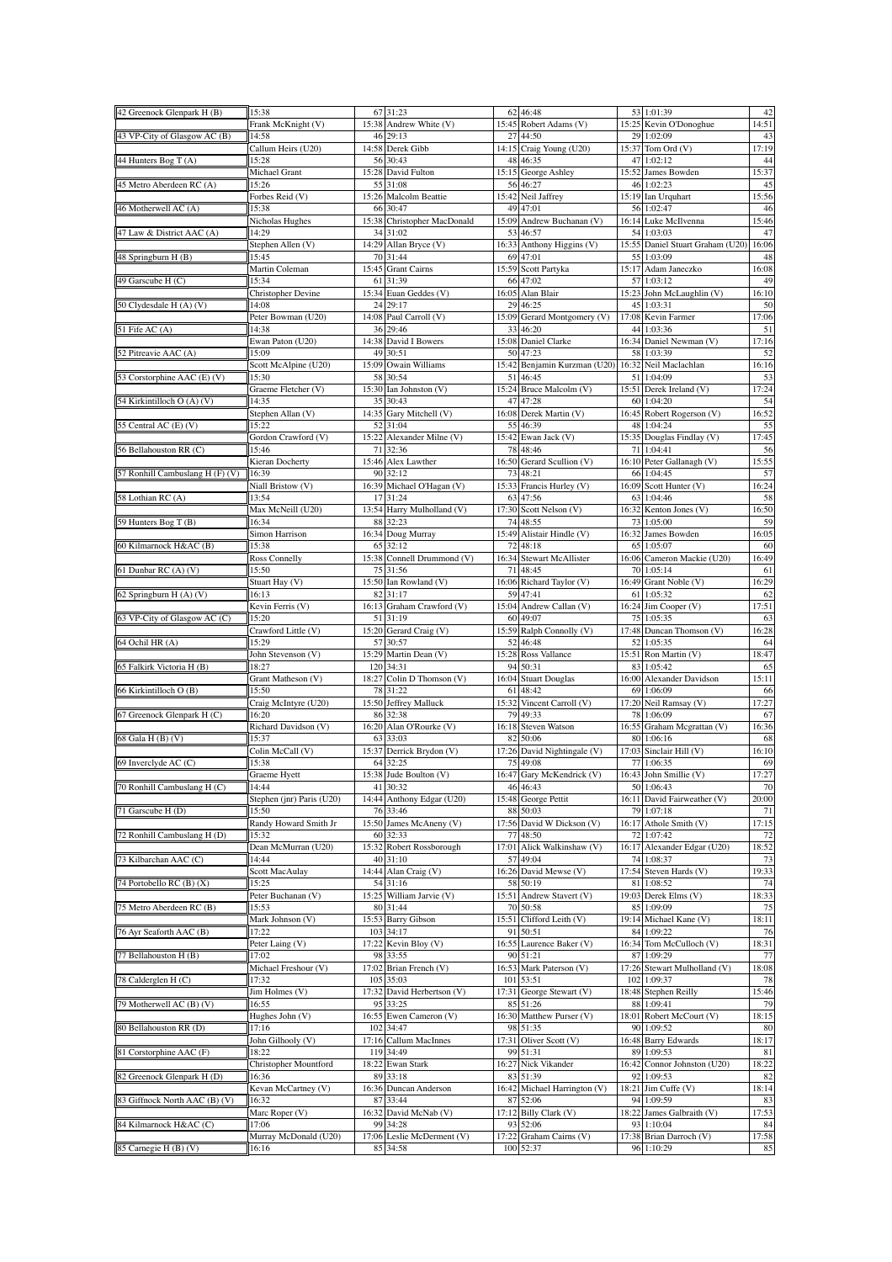| 42 Greenock Glenpark H (B)      | 15:38                          |              | 67 31:23                        | 62          | 46:48                              |       | 53 1:01:39                                     | 42          |
|---------------------------------|--------------------------------|--------------|---------------------------------|-------------|------------------------------------|-------|------------------------------------------------|-------------|
| 43 VP-City of Glasgow AC (B)    | Frank McKnight (V)<br>14:58    | 15:38<br>46  | Andrew White (V)<br>29:13       | 27          | 15:45 Robert Adams (V)<br>44:50    |       | 15:25 Kevin O'Donoghue<br>29 1:02:09           | 14:51<br>43 |
|                                 | Callum Heirs (U20)             |              | 14:58 Derek Gibb                |             | 14:15 Craig Young (U20)            |       | 15:37 Tom Ord (V)                              | 17:19       |
| 44 Hunters Bog T (A)            | 15:28                          | 56           | 30:43                           |             | 48 46:35                           |       | 47 1:02:12                                     | 44          |
|                                 | Michael Grant                  | 15:28        | David Fulton                    |             | 15:15 George Ashley                |       | 15:52 James Bowden                             | 15:37       |
| 45 Metro Aberdeen RC (A)        | 15:26<br>Forbes Reid (V)       | 55<br>15:26  | 31:08<br>Malcolm Beattie        | 56<br>15:42 | 46:27<br>Neil Jaffrey              |       | 46 1:02:23<br>15:19 Ian Urquhart               | 45<br>15:56 |
| 46 Motherwell AC (A)            | 15:38                          | 66           | 30:47                           | 49          | 47:01                              |       | 56 1:02:47                                     | 46          |
|                                 | Nicholas Hughes                | 15:38        | Christopher MacDonald           | 15:09       | Andrew Buchanan (V)                |       | 16:14 Luke McIlvenna                           | 15:46       |
| 47 Law & District AAC (A)       | 14:29                          | 34           | 31:02                           | 53          | 46:57                              |       | 54 1:03:03                                     | 47          |
| 48 Springburn H (B)             | Stephen Allen (V)<br>15:45     | 14:29<br>70  | Allan Bryce (V)<br>31:44        | 16:33<br>69 | Anthony Higgins (V)<br>47:01       |       | 15:55 Daniel Stuart Graham (U20)<br>55 1:03:09 | 16:06<br>48 |
|                                 | Martin Coleman                 | 15:45        | <b>Grant Cairns</b>             | 15:59       | Scott Partyka                      |       | 15:17 Adam Janeczko                            | 16:08       |
| 49 Garscube H (C)               | 15:34                          | 61           | 31:39                           |             | 66 47:02                           |       | 57 1:03:12                                     | 49          |
| 50 Clydesdale H (A) (V)         | Christopher Devine             | 15:34<br>24  | Euan Geddes (V)                 | 16:05<br>29 | Alan Blair                         | 15:23 | John McLaughlin (V)                            | 16:10       |
|                                 | 14:08<br>Peter Bowman (U20)    |              | 29:17<br>14:08 Paul Carroll (V) | 15:09       | 46:25<br>Gerard Montgomery (V)     |       | 45 1:03:31<br>17:08 Kevin Farmer               | 50<br>17:06 |
| 51 Fife AC (A)                  | 14:38                          | 36           | 29:46                           | 33          | 46:20                              |       | 44 1:03:36                                     | 51          |
|                                 | Ewan Paton (U20)               | 14:38        | David I Bowers                  | 15:08       | Daniel Clarke                      |       | 16:34 Daniel Newman (V)                        | 17:16       |
| 52 Pitreavie AAC (A)            | 15:09<br>Scott McAlpine (U20)  | 49<br>15:09  | 30:51<br>Owain Williams         | 15:42       | 50 47:23<br>Benjamin Kurzman (U20) |       | 58 1:03:39<br>16:32 Neil Maclachlan            | 52<br>16:16 |
| 53 Corstorphine AAC (E) (V)     | 15:30                          | 58           | 30:54                           | 51          | 46:45                              |       | 51 1:04:09                                     | 53          |
|                                 | Graeme Fletcher (V)            | 15:30        | Ian Johnston (V)                | 15:24       | Bruce Malcolm (V)                  |       | 15:51 Derek Ireland (V)                        | 17:24       |
| 54 Kirkintilloch O (A) (V)      | 14:35                          | 35           | 30:43                           | 47          | 47:28                              |       | 60 1:04:20                                     | 54          |
| 55 Central AC (E) (V)           | Stephen Allan (V)<br>15:22     | 14:35<br>52  | Gary Mitchell (V)<br>31:04      | 16:08<br>55 | Derek Martin (V)<br>46:39          |       | 16:45 Robert Rogerson (V)<br>48 1:04:24        | 16:52<br>55 |
|                                 | Gordon Crawford (V)            | 15:22        | Alexander Milne (V)             | 15:42       | Ewan Jack (V)                      |       | 15:35 Douglas Findlay (V)                      | 17:45       |
| 56 Bellahouston RR (C)          | 15:46                          | 71           | 32:36                           | 78          | 48:46                              |       | 71 1:04:41                                     | 56          |
|                                 | Kieran Docherty                | 15:46        | Alex Lawther                    | 16:50       | Gerard Scullion (V)                |       | 16:10 Peter Gallanagh (V)                      | 15:55       |
| 57 Ronhill Cambuslang H (F) (V) | 16:39<br>Niall Bristow (V)     | 90<br>16:39  | 32:12<br>Michael O'Hagan (V)    | 73<br>15:33 | 48:21<br>Francis Hurley (V)        |       | 66 1:04:45<br>16:09 Scott Hunter (V)           | 57<br>16:24 |
| 58 Lothian RC (A)               | 13:54                          | 17           | 31:24                           | 63          | 47:56                              |       | 63 1:04:46                                     | 58          |
|                                 | Max McNeill (U20)              |              | 13:54 Harry Mulholland (V)      |             | 17:30 Scott Nelson (V)             |       | 16:32 Kenton Jones (V)                         | 16:50       |
| 59 Hunters Bog T (B)            | 16:34                          | 88           | 32:23                           | 74          | 48:55                              |       | 73 1:05:00                                     | 59          |
| 60 Kilmarnock H&AC (B)          | Simon Harrison<br>15:38        | 65           | 16:34 Doug Murray<br>32:12      | 15:49<br>72 | Alistair Hindle (V)<br>48:18       |       | 16:32 James Bowden<br>65 1:05:07               | 16:05<br>60 |
|                                 | Ross Connelly                  | 15:38        | Connell Drummond (V)            | 16:34       | Stewart McAllister                 |       | 16:06 Cameron Mackie (U20)                     | 16:49       |
| 61 Dunbar RC (A) (V)            | 15:50                          | 75           | 31:56                           | 71          | 48:45                              |       | 70 1:05:14                                     | 61          |
|                                 | Stuart Hay (V)                 |              | 15:50 Ian Rowland (V)           |             | 16:06 Richard Taylor (V)           |       | 16:49 Grant Noble (V)                          | 16:29       |
| 62 Springburn H (A) (V)         | 16:13<br>Kevin Ferris (V)      | 82<br>16:13  | 31:17<br>Graham Crawford (V)    | 59<br>15:04 | 47:41<br>Andrew Callan (V)         |       | 61 1:05:32                                     | 62<br>17:51 |
| 63 VP-City of Glasgow AC (C)    | 15:20                          |              | 51 31:19                        |             | 60 49:07                           |       | 16:24 Jim Cooper (V)<br>75 1:05:35             | 63          |
|                                 | Crawford Little (V)            |              | 15:20 Gerard Craig (V)          | 15:59       | Ralph Connolly (V)                 |       | 17:48 Duncan Thomson (V)                       | 16:28       |
| 64 Ochil HR (A)                 | 15:29                          | 57           | 30:57                           | 52          | 46:48                              | 52    | 1:05:35                                        | 64          |
| 65 Falkirk Victoria H (B)       | John Stevenson (V)<br>18:27    | 15:29<br>120 | Martin Dean (V)<br>34:31        | 15:28<br>94 | <b>Ross Vallance</b><br>50:31      |       | 15:51 Ron Martin (V)<br>83 1:05:42             | 18:47<br>65 |
|                                 | Grant Matheson (V)             | 18:27        | Colin D Thomson (V)             | 16:04       | <b>Stuart Douglas</b>              | 16:00 | Alexander Davidson                             | 15:11       |
| 66 Kirkintilloch O (B)          | 15:50                          | 78           | 31:22                           | 61          | 48:42                              |       | 69 1:06:09                                     | 66          |
|                                 | Craig McIntyre (U20)           | 15:50        | Jeffrey Malluck                 | 15:32       | Vincent Carroll (V)                |       | 17:20 Neil Ramsay (V)                          | 17:27       |
| 67 Greenock Glenpark H (C)      | 16:20<br>Richard Davidson (V)  | 86<br>16:20  | 32:38<br>Alan O'Rourke (V)      | 79<br>16:18 | 49:33<br><b>Steven Watson</b>      | 78    | 1:06:09<br>16:55 Graham Mcgrattan (V)          | 67<br>16:36 |
| 68 Gala H (B) (V)               | 15:37                          |              | 63 33:03                        | 82          | 50:06                              |       | 80 1:06:16                                     | 68          |
|                                 | Colin McCall (V)               |              | 15:37 Derrick Brydon (V)        |             | 17:26 David Nightingale (V)        |       | 17:03 Sinclair Hill (V)                        | 16:10       |
| 69 Inverclyde AC (C)            | 15:38                          |              | 64 32:25                        |             | 75 49:08                           |       | 77 1:06:35                                     | 69<br>17:27 |
| 70 Ronhill Cambuslang H (C)     | Graeme Hyett<br>14:44          | 41           | 15:38 Jude Boulton (V)<br>30:32 |             | 16:47 Gary McKendrick (V)<br>46:43 |       | 16:43 John Smillie (V)<br>50 1:06:43           | 70          |
|                                 | Stephen (jnr) Paris (U20)      | 14:44        | Anthony Edgar (U20)             |             | 15:48 George Pettit                |       | 16:11 David Fairweather (V)                    | 20:00       |
| 71 Garscube H (D)               | 15:50                          | 76           | 33:46                           |             | 88 50:03                           |       | 79 1:07:18                                     | 71          |
| 72 Ronhill Cambuslang H (D)     | Randy Howard Smith Jr<br>15:32 | 15:50<br>60  | James McAneny (V)<br>32:33      | 77          | 17:56 David W Dickson (V)<br>48:50 |       | 16:17 Athole Smith (V)<br>72 1:07:42           | 17:15<br>72 |
|                                 | Dean McMurran (U20)            |              | 15:32 Robert Rossborough        | 17:01       | Alick Walkinshaw (V)               |       | 16:17 Alexander Edgar (U20)                    | 18:52       |
| 73 Kilbarchan AAC (C)           | 14:44                          | 40           | 31:10                           | 57          | 49:04                              |       | 74 1:08:37                                     | 73          |
|                                 | Scott MacAulay                 | 14:44        | Alan Craig (V)                  |             | 16:26 David Mewse (V)              |       | 17:54 Steven Hards (V)                         | 19:33       |
| 74 Portobello RC (B) (X)        | 15:25<br>Peter Buchanan (V)    | 15:25        | 54 31:16<br>William Jarvie (V)  | 15:51       | 58 50:19<br>Andrew Stavert (V)     |       | 81 1:08:52<br>19:03 Derek Elms (V)             | 74<br>18:33 |
| 75 Metro Aberdeen RC (B)        | 15:53                          | 80           | 31:44                           |             | 70 50:58                           |       | 85 1:09:09                                     | 75          |
|                                 | Mark Johnson (V)               |              | 15:53 Barry Gibson              | 15:51       | Clifford Leith (V)                 |       | 19:14 Michael Kane (V)                         | 18:11       |
| 76 Ayr Seaforth AAC (B)         | 17:22                          | 103          | 34:17                           | 91          | 50:51                              |       | 84 1:09:22                                     | 76          |
| 77 Bellahouston H (B)           | Peter Laing (V)<br>17:02       | 17:22<br>98  | Kevin Bloy (V)<br>33:55         | 16:55       | Laurence Baker (V)<br>90 51:21     |       | 16:34 Tom McCulloch (V)<br>87 1:09:29          | 18:31<br>77 |
|                                 | Michael Freshour (V)           | 17:02        | Brian French (V)                | 16:53       | Mark Paterson (V)                  |       | 17:26 Stewart Mulholland (V)                   | 18:08       |
| 78 Calderglen H (C)             | 17:32                          | 105          | 35:03                           | 101         | 53:51                              |       | 102 1:09:37                                    | 78          |
|                                 | Jim Holmes (V)                 | 17:32        | David Herbertson (V)            | 17:31       | George Stewart (V)                 |       | 18:48 Stephen Reilly                           | 15:46       |
| 79 Motherwell AC (B) (V)        | 16:55<br>Hughes John (V)       | 95           | 33:25<br>16:55 Ewen Cameron (V) | 85<br>16:30 | 51:26<br>Matthew Purser (V)        |       | 88 1:09:41<br>18:01 Robert McCourt (V)         | 79<br>18:15 |
| 80 Bellahouston RR (D)          | 17:16                          | 102          | 34:47                           |             | 98 51:35                           |       | 90 1:09:52                                     | 80          |
|                                 | John Gilhooly (V)              |              | 17:16 Callum MacInnes           |             | 17:31 Oliver Scott (V)             |       | 16:48 Barry Edwards                            | 18:17       |
| 81 Corstorphine AAC (F)         | 18:22                          | 119          | 34:49                           |             | 99 51:31                           |       | 89 1:09:53                                     | 81          |
| 82 Greenock Glenpark H (D)      | Christopher Mountford<br>16:36 | 18:22<br>89  | Ewan Stark<br>33:18             |             | 16:27 Nick Vikander<br>83 51:39    |       | 16:42 Connor Johnston (U20)<br>92 1:09:53      | 18:22<br>82 |
|                                 | Kevan McCartney (V)            | 16:36        | Duncan Anderson                 | 16:42       | Michael Harrington (V)             |       | 18:21 Jim Cuffe (V)                            | 18:14       |
| 83 Giffnock North AAC (B) (V)   | 16:32                          | 87           | 33:44                           | 87          | 52:06                              |       | 94 1:09:59                                     | 83          |
| 84 Kilmarnock H&AC (C)          | Marc Roper (V)                 |              | 16:32 David McNab (V)           |             | 17:12 Billy Clark (V)              |       | 18:22 James Galbraith (V)                      | 17:53       |
|                                 |                                |              |                                 |             |                                    |       |                                                |             |
|                                 | 17:06<br>Murray McDonald (U20) | 99<br>17:06  | 34:28<br>Leslie McDerment (V)   | 93<br>17:22 | 52:06<br>Graham Cairns (V)         |       | 93 1:10:04<br>17:38 Brian Darroch (V)          | 84<br>17:58 |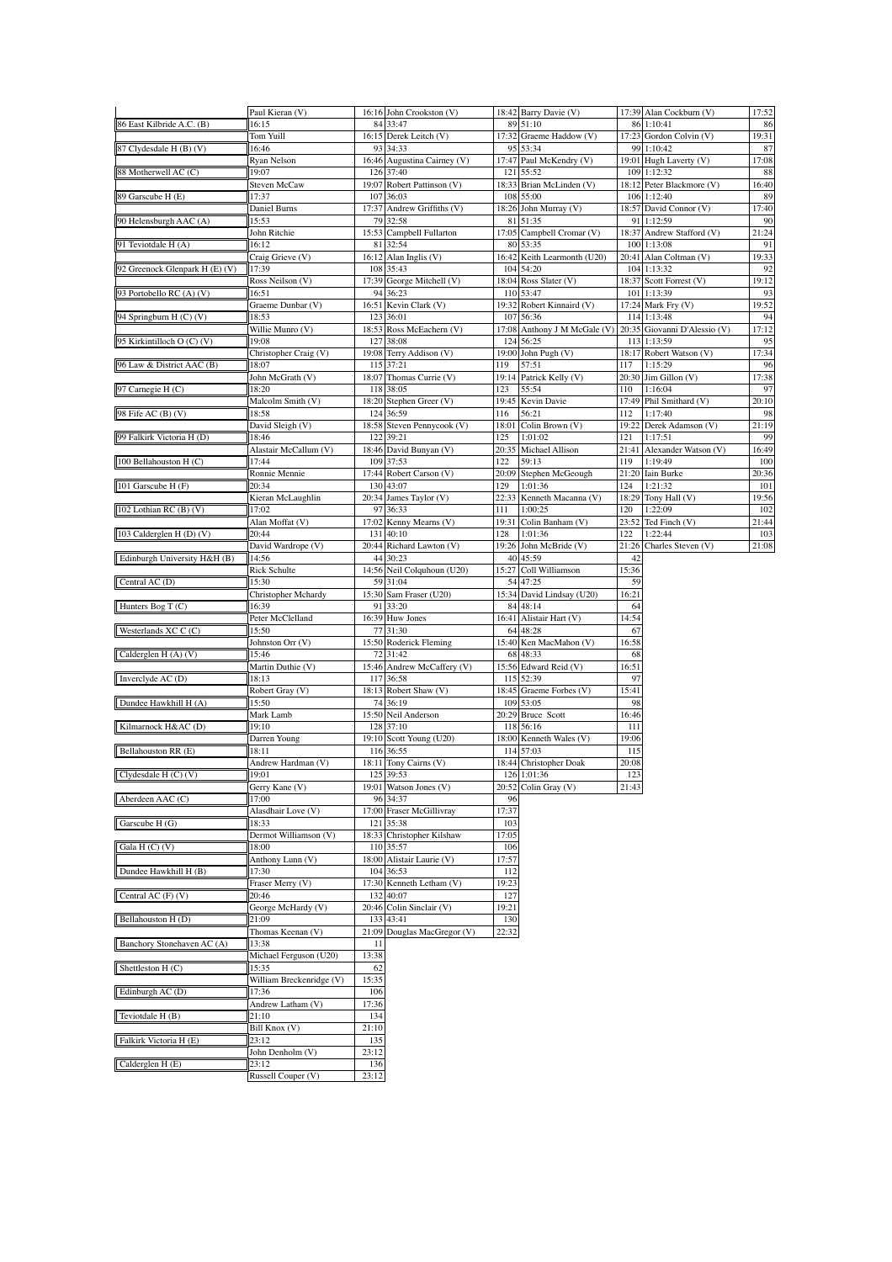|                                | Paul Kieran (V)                 |              | 16:16 John Crookston (V)                 |              | 18:42 Barry Davie (V)                     |              | 17:39 Alan Cockburn (V)                     | 17:52        |
|--------------------------------|---------------------------------|--------------|------------------------------------------|--------------|-------------------------------------------|--------------|---------------------------------------------|--------------|
| 86 East Kilbride A.C. (B)      | 16:15<br>Tom Yuill              |              | 84 33:47<br>16:15 Derek Leitch (V)       |              | 89 51:10<br>17:32 Graeme Haddow (V)       |              | 86 1:10:41<br>17:23 Gordon Colvin (V)       | 86<br>19:31  |
| 87 Clydesdale H (B) (V)        | 16:46                           |              | 93 34:33                                 |              | 95 53:34                                  |              | 99 1:10:42                                  | 87           |
| 88 Motherwell AC (C)           | Ryan Nelson<br>19:07            |              | 16:46 Augustina Cairney (V)<br>126 37:40 |              | 17:47 Paul McKendry (V)<br>121 55:52      |              | 19:01 Hugh Laverty (V)<br>109 1:12:32       | 17:08<br>88  |
|                                | Steven McCaw                    |              | 19:07 Robert Pattinson (V)               |              | 18:33 Brian McLinden (V)                  |              | 18:12 Peter Blackmore (V)                   | 16:40        |
| 89 Garscube H (E)              | 17:37<br>Daniel Burns           |              | 107 36:03<br>17:37 Andrew Griffiths (V)  |              | 108 55:00<br>18:26 John Murray (V)        |              | 106 1:12:40<br>18:57 David Connor (V)       | 89<br>17:40  |
| 90 Helensburgh AAC (A)         | 15:53                           |              | 79 32:58                                 |              | 81 51:35                                  |              | 91 1:12:59                                  | 90           |
|                                | John Ritchie                    |              | 15:53 Campbell Fullarton                 |              | 17:05 Campbell Cromar (V)                 |              | 18:37 Andrew Stafford (V)                   | 21:24        |
| 91 Teviotdale H (A)            | 16:12<br>Craig Grieve (V)       |              | 81 32:54<br>$16:12$ Alan Inglis (V)      |              | 80 53:35<br>16:42 Keith Learmonth (U20)   |              | 100 1:13:08<br>20:41 Alan Coltman (V)       | 91<br>19:33  |
| 92 Greenock Glenpark H (E) (V) | 17:39                           |              | 108 35:43                                |              | 104 54:20                                 |              | 104 1:13:32                                 | 92           |
| 93 Portobello RC (A) (V)       | Ross Neilson (V)<br>16:51       |              | 17:39 George Mitchell (V)<br>94 36:23    |              | 18:04 Ross Slater (V)<br>110 53:47        |              | 18:37 Scott Forrest (V)<br>101 1:13:39      | 19:12<br>93  |
|                                | Graeme Dunbar (V)               |              | 16:51 Kevin Clark (V)                    | 19:32        | Robert Kinnaird (V)                       |              | 17:24 Mark Fry (V)                          | 19:52        |
| 94 Springburn H (C) (V)        | 18:53                           |              | 123 36:01                                | 107          | 56:36                                     |              | 114 1:13:48                                 | 94           |
| 95 Kirkintilloch O (C) (V)     | Willie Munro (V)<br>19:08       |              | 18:53 Ross McEachern (V)<br>127 38:08    |              | 17:08 Anthony J M McGale (V)<br>124 56:25 |              | 20:35 Giovanni D'Alessio (V)<br>113 1:13:59 | 17:12<br>95  |
|                                | Christopher Craig (V)           |              | 19:08 Terry Addison (V)                  |              | 19:00 John Pugh (V)                       |              | 18:17 Robert Watson (V)                     | 17:34        |
| 96 Law & District AAC (B)      | 18:07<br>John McGrath (V)       |              | 115 37:21<br>18:07 Thomas Currie (V)     | 119          | 57:51<br>19:14 Patrick Kelly (V)          | 117          | 1:15:29<br>$20:30$ Jim Gillon (V)           | 96<br>17:38  |
| 97 Carnegie H (C)              | 18:20                           |              | 118 38:05                                | 123          | 55:54                                     | 110          | 1:16:04                                     | 97           |
|                                | Malcolm Smith (V)               |              | 18:20 Stephen Greer (V)                  |              | 19:45 Kevin Davie                         |              | 17:49 Phil Smithard (V)                     | 20:10        |
| 98 Fife AC (B) (V)             | 18:58<br>David Sleigh (V)       |              | 124 36:59<br>18:58 Steven Pennycook (V)  | 116          | 56:21<br>18:01 Colin Brown (V)            | 112          | 1:17:40<br>19:22 Derek Adamson (V)          | 98<br>21:19  |
| 99 Falkirk Victoria H (D)      | 18:46                           |              | 122 39:21                                | 125          | 1:01:02                                   | 121          | 1:17:51                                     | 99           |
|                                | Alastair McCallum (V)           |              | 18:46 David Bunyan (V)                   |              | 20:35 Michael Allison                     |              | 21:41 Alexander Watson (V)                  | 16:49        |
| 100 Bellahouston H (C)         | 17:44<br>Ronnie Mennie          |              | 109 37:53<br>17:44 Robert Carson (V)     | 122          | 59:13<br>20:09 Stephen McGeough           | 119          | 1:19:49<br>21:20 Iain Burke                 | 100<br>20:36 |
| 101 Garscube H (F)             | 20:34                           |              | 130 43:07                                | 129          | 1:01:36                                   | 124          | 1:21:32                                     | 101          |
|                                | Kieran McLaughlin               |              | 20:34 James Taylor (V)                   | 22:33        | Kenneth Macanna (V)                       |              | 18:29 Tony Hall (V)                         | 19:56        |
| 102 Lothian RC (B) (V)         | 17:02<br>Alan Moffat (V)        | 97           | 36:33<br>17:02 Kenny Mearns (V)          | 111          | 1:00:25<br>19:31 Colin Banham (V)         | 120          | 1:22:09<br>$23:52$ Ted Finch (V)            | 102<br>21:44 |
| 103 Calderglen H (D) (V)       | 20:44                           |              | 131 40:10                                | 128          | 1:01:36                                   | 122          | 1:22:44                                     | 103          |
| Edinburgh University H&H (B)   | David Wardrope (V)<br>14:56     |              | 20:44 Richard Lawton (V)<br>44 30:23     |              | 19:26 John McBride (V)<br>40 45:59        | 42           | 21:26 Charles Steven (V)                    | 21:08        |
|                                | Rick Schulte                    |              | 14:56 Neil Colquhoun (U20)               |              | 15:27 Coll Williamson                     | 15:36        |                                             |              |
| Central AC (D)                 | 15:30                           |              | 59 31:04                                 |              | 54 47:25                                  | 59           |                                             |              |
| Hunters Bog T $(C)$            | Christopher Mchardy<br>16:39    | 91           | 15:30 Sam Fraser (U20)<br>33:20          | 84           | 15:34 David Lindsay (U20)<br>48:14        | 16:21<br>64  |                                             |              |
|                                | Peter McClelland                |              | 16:39 Huw Jones                          |              | 16:41 Alistair Hart (V)                   | 14:54        |                                             |              |
| Westerlands XC C (C)           | 15:50                           |              | 77 31:30                                 |              | 64 48:28                                  | 67           |                                             |              |
| Calderglen H (A) (V)           | Johnston Orr (V)<br>15:46       |              | 15:50 Roderick Fleming<br>72 31:42       |              | 15:40 Ken MacMahon (V)<br>68 48:33        | 16:58<br>68  |                                             |              |
|                                | Martin Duthie (V)               |              | 15:46 Andrew McCaffery (V)               |              | 15:56 Edward Reid (V)                     | 16:51        |                                             |              |
| Inverclyde AC (D)              | 18:13<br>Robert Gray (V)        | 117          | 36:58<br>18:13 Robert Shaw (V)           | 115          | 52:39                                     | 97           |                                             |              |
| Dundee Hawkhill H (A)          | 15:50                           |              | 74 36:19                                 |              | 18:45 Graeme Forbes (V)<br>109 53:05      | 15:41<br>98  |                                             |              |
|                                | Mark Lamb                       |              | 15:50 Neil Anderson                      |              | 20:29 Bruce Scott                         | 16:46        |                                             |              |
| Kilmarnock H&AC (D)            | 19:10<br>Darren Young           |              | 128 37:10<br>19:10 Scott Young (U20)     |              | 118 56:16<br>18:00 Kenneth Wales (V)      | 111<br>19:06 |                                             |              |
| Bellahouston RR (E)            | 18:11                           |              | 116 36:55                                |              | 114 57:03                                 | 115          |                                             |              |
|                                | Andrew Hardman (V)              |              | 18:11 Tony Cairns (V)                    |              | 18:44 Christopher Doak                    | 20:08        |                                             |              |
| Clydesdale $H(C)(V)$           | 19:01<br>Gerry Kane (V)         |              | 125 39:53<br>19:01 Watson Jones (V)      | 20:52        | 126 1:01:36<br>Colin Gray (V)             | 123<br>21:43 |                                             |              |
| Aberdeen AAC (C)               | 17:00                           | 96           | 34:37                                    | 96           |                                           |              |                                             |              |
|                                | Alasdhair Love (V)              |              | 17:00 Fraser McGillivray<br>121 35:38    | 17:37<br>103 |                                           |              |                                             |              |
| Garscube H (G)                 | 18:33<br>Dermot Williamson (V)  |              | 18:33 Christopher Kilshaw                | 17:05        |                                           |              |                                             |              |
| Gala $H(C)$ (V)                | 18:00                           | 110          | 35:57                                    | 106          |                                           |              |                                             |              |
| Dundee Hawkhill H (B)          | Anthony Lunn (V)<br>17:30       | 104          | 18:00 Alistair Laurie (V)<br>36:53       | 17:57<br>112 |                                           |              |                                             |              |
|                                | Fraser Merry (V)                |              | 17:30 Kenneth Letham (V)                 | 19:23        |                                           |              |                                             |              |
| Central AC (F) (V)             | 20:46                           |              | 132 40:07                                | 127          |                                           |              |                                             |              |
|                                |                                 |              | 20:46 Colin Sinclair (V)                 | 19:21        |                                           |              |                                             |              |
|                                | George McHardy (V)<br>21:09     | 133          | 43:41                                    | 130          |                                           |              |                                             |              |
| Bellahouston H (D)             | Thomas Keenan (V)               | 21:09        | Douglas MacGregor (V)                    | 22:32        |                                           |              |                                             |              |
| Banchory Stonehaven AC (A)     | 13:38                           | 11           |                                          |              |                                           |              |                                             |              |
|                                | Michael Ferguson (U20)<br>15:35 | 13:38<br>62  |                                          |              |                                           |              |                                             |              |
|                                | William Breckenridge (V)        | 15:35        |                                          |              |                                           |              |                                             |              |
| Shettleston $H(C)$             | 17:36                           | 106          |                                          |              |                                           |              |                                             |              |
| Edinburgh AC (D)               | Andrew Latham (V)<br>21:10      | 17:36<br>134 |                                          |              |                                           |              |                                             |              |
| Teviotdale H (B)               | Bill Knox (V)                   | 21:10        |                                          |              |                                           |              |                                             |              |
| Falkirk Victoria H (E)         | 23:12                           | 135          |                                          |              |                                           |              |                                             |              |
| Calderglen H (E)               | John Denholm (V)<br>23:12       | 23:12<br>136 |                                          |              |                                           |              |                                             |              |